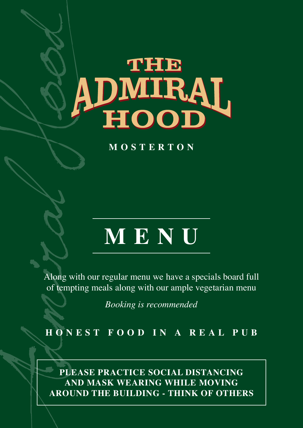# **THE** ADMIRAL

**MOSTERTON**

# **MENU**

Along with our regular menu we have a specials board full of tempting meals along with our ample vegetarian menu

*Booking is recommended*

**HONEST FOOD IN A REAL PUB**

**PLEASE PRACTICE SOCIAL DISTANCING AND MASK WEARING WHILE MOVING AROUND THE BUILDING - THINK OF OTHERS**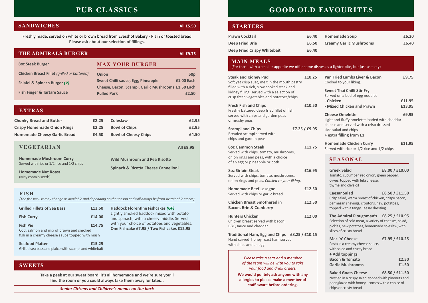Freshly made, served on white or brown bread from Evershot Bakery - Plain or toasted bread **Please ask about our selection of fillings.**

### **EXTRAS**

# **PUB CLASSICS**

# **SANDWICHES** *All £5.50*

| <b>Chunky Bread and Butter</b>      | £2.25 | <b>Coleslaw</b>             | £2.95 |
|-------------------------------------|-------|-----------------------------|-------|
| <b>Crispy Homemade Onion Rings</b>  | £2.25 | <b>Bowl of Chips</b>        | £2.95 |
| <b>Homemade Cheesy Garlic Bread</b> | £4.50 | <b>Bowl of Cheesy Chips</b> | £4.50 |
|                                     |       |                             |       |

| THE ADMIRALS BURGER                                |                                                    | All £9.75       |
|----------------------------------------------------|----------------------------------------------------|-----------------|
| <b>802 Steak Burger</b>                            | <b>MAX YOUR BURGER</b>                             |                 |
| <b>Chicken Breast Fillet (grilled or battered)</b> | <b>Onion</b>                                       | 50 <sub>p</sub> |
| Falafel & Spinach Burger (V)                       | Sweet Chilli sauce, Egg, Pineapple                 | £1.00 Each      |
|                                                    | Cheese, Bacon, Scampi, Garlic Mushrooms £1.50 Each |                 |
| <b>Fish Finger &amp; Tartare Sauce</b>             | <b>Pulled Pork</b>                                 | £2.50           |
|                                                    |                                                    |                 |

**Seafood Platter** <br>**E15.25** Grilled sea bass and plaice with scampi and whitebait

*Senior Citizens and Children's menus on the back*

# **GOOD OLD FAVOURITES**

**Take a peek at our sweet board, it's all homemade and we're sure you'll find the room or you could always take them away for later...**

## **SWEETS**

**Homemade Mushroom Curry** Served with rice or 1/2 rice and 1/2 chips

**Homemade Nut Roast**  (May contain seeds)

#### **VEGETARIAN All £9.95**

**Wild Mushroom and Pea Risotto Spinach & Ricotta Cheese Cannelloni**

| <b>Grilled Fillets of Sea Bass</b>                                                                           | £13.50 |
|--------------------------------------------------------------------------------------------------------------|--------|
| <b>Fish Curry</b>                                                                                            | £14.00 |
| <b>Fish Pie</b><br>Cod, salmon and mix of prawn and smoked<br>fish in a creamy cheese sauce topped with mash | £14.75 |

#### **FISH**

*(The fish we use may change as available and depending on the season and will always be from sustainable stocks)*

**Haddock Florentine Fishcakes** *(GF)*

Lightly smoked haddock mixed with potato and spinach, with a cheesy middle. Served with your choice of potatoes and vegetables. **One Fishcake £7.95 / Two Fishcakes £12.95**

> *Please take a seat and a member of the team will be with you to take your food and drink orders.*

**We would politely ask anyone with any allergies to please make a member of staff aware before ordering.**

| <b>Steak and Kidney Pud</b><br>Soft yet crisp suet, melt in the mouth pastry<br>filled with a rich, slow cooked steak and<br>kidney filling, served with a selection of<br>crisp fresh vegetables and potatoes/chips | £10.25         |
|----------------------------------------------------------------------------------------------------------------------------------------------------------------------------------------------------------------------|----------------|
| <b>Fresh Fish and Chips</b><br>Freshly battered deep fried fillet of fish<br>served with chips and garden peas<br>or mushy peas                                                                                      | £10.50         |
| <b>Scampi and Chips</b><br>Breaded scampi served with<br>chips and garden peas                                                                                                                                       | £7.25 / £9.95  |
| <b>8oz Gammon Steak</b><br>Served with chips, tomato, mushrooms,<br>onion rings and peas, with a choice<br>of an egg or pineapple or both                                                                            | £11.75         |
| <b>8oz Sirloin Steak</b><br>Served with chips, tomato, mushrooms,<br>onion rings and peas. Cooked to your liking.                                                                                                    | £16.95         |
| <b>Homemade Beef Lasagne</b><br>Served with chips or garlic bread                                                                                                                                                    | £12.50         |
| <b>Chicken Breast Smothered in</b><br><b>Bacon, Brie &amp; Cranberry</b>                                                                                                                                             | £12.50         |
| <b>Hunters Chicken</b><br>Chicken breast served with bacon,<br><b>BBQ</b> sauce and cheddar                                                                                                                          | £12.00         |
| <b>Traditional Ham, Egg and Chips</b><br>Hand carved, honey roast ham served<br>with chips and an egg                                                                                                                | £8.25 / £10.15 |
|                                                                                                                                                                                                                      |                |

### **MAIN MEALS**

(For those with a smaller appetite we offer some dishes

| <b>Prawn Cocktail</b>              | £6.40 |
|------------------------------------|-------|
| <b>Deep Fried Brie</b>             | £6.50 |
| <b>Deep Fried Crispy Whitebait</b> | £6.40 |

### **STARTERS**

**Bacon & Tomato £2.50 Garlic Mushrooms £1.50**

| s as a lighter bite, but just as tasty)                                                                                                                                    |                  |  |
|----------------------------------------------------------------------------------------------------------------------------------------------------------------------------|------------------|--|
| <b>Pan Fried Lambs Liver &amp; Bacon</b><br>Cooked to your liking.                                                                                                         | £9.75            |  |
| <b>Sweet Thai Chilli Stir Fry</b><br>Served on a bed of egg noodles<br>- Chicken<br>- Mixed Chicken and Prawn                                                              | £11.95<br>£13.95 |  |
| <b>Cheese Omelette</b><br>Light and fluffy omelette loaded with cheddar<br>cheese and served with a crisp dressed<br>side salad and chips<br>+ extra filling from £1       | £9.95            |  |
| <b>Homemade Chicken Curry</b><br>Served with rice or 1/2 rice and 1/2 chips                                                                                                | £11.95           |  |
| <b>SEASONAL</b>                                                                                                                                                            |                  |  |
| <b>Greek Salad</b><br>Tomato, cucumber, red onion, green pepper,<br>olives, topped with feta cheese,<br>thyme and olive oil                                                | £8.00 / £10.00   |  |
| <b>Caesar Salad</b><br>Crisp salad, warm breast of chicken, crispy bacon,<br>parmesan shavings, croutons, new potatoes,<br>topped with a tangy Caesar dressing             | £8.50 / £11.50   |  |
| The Admiral Ploughman's £8.25 / £10.95<br>Selection of cold meat, a variety of cheeses, salad,<br>pickles, new potatoes, homemade coleslaw, with<br>slices of crusty bread |                  |  |
| Mac 'n' Cheese<br>Pasta in a creamy cheese sauce,<br>with salad and crusty bread<br>+ Add toppings                                                                         | £7.95 / £10.25   |  |

**Baked Goats Cheese £8.50 / £11.50**  Nestled in a crispy salad, topped with pinenuts and pear glazed with honey - comes with a choice of chips or crusty bread

| <b>Homemade Soup</b>           | £6.20 |
|--------------------------------|-------|
| <b>Creamy Garlic Mushrooms</b> | £6.40 |
|                                |       |